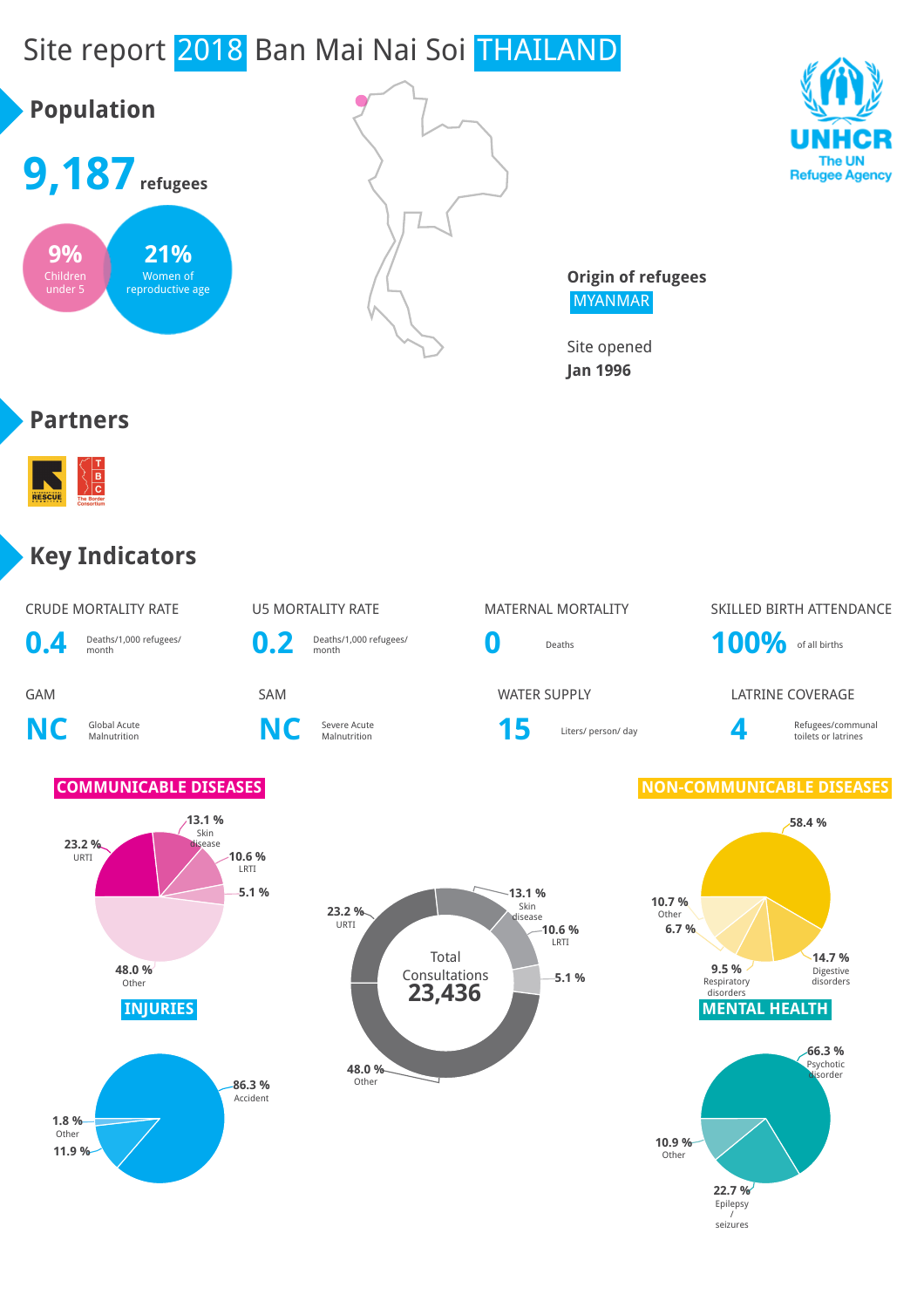# Site report 2018 Ban Mai Nai Soi THAILAND





**Origin of refugees** MYANMAR

Site opened **Jan 1996**

#### **Partners**



#### **Key Indicators**

| <b>CRUDE MORTALITY RATE</b> | U5 MORTALITY RATE           |  |  |  |
|-----------------------------|-----------------------------|--|--|--|
| D.4 Deaths/1,000 refugees/  | D. 2 Deaths/1,000 refugees/ |  |  |  |

**NC** Global Acute









**GAM** SAM SAM SAM WATER SUPPLY LATRINE COVERAGE

Severe Acute **15** Liters/ person/ day **4** 

#### Refugees/communal toilets or latrines

#### **COMMUNICABLE DISEASES NON-COMMUNICABLE DISEASES**







Epilepsy / seizures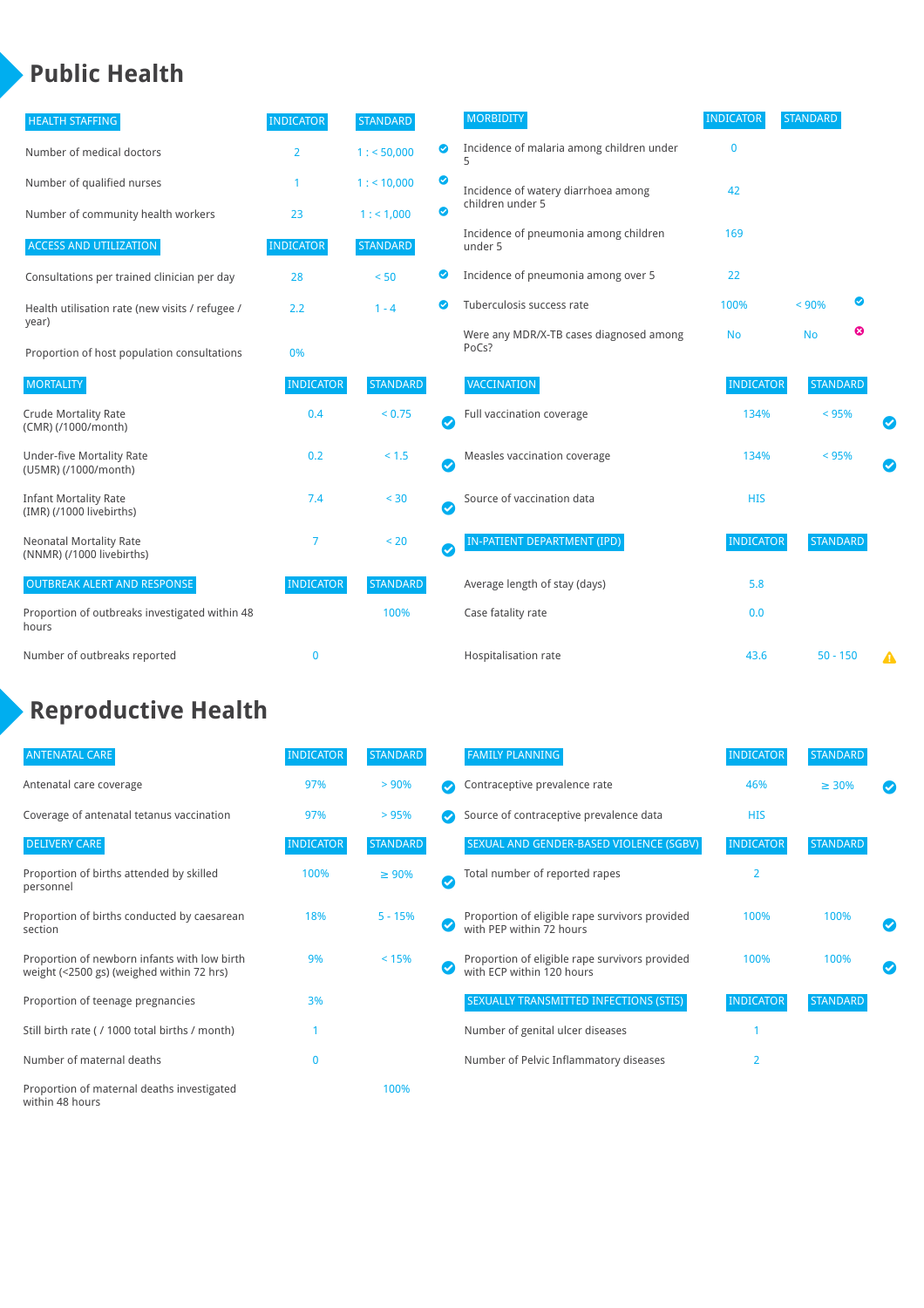### **Public Health**

| <b>HEALTH STAFFING</b>                                      | <b>INDICATOR</b> | <b>STANDARD</b> |                       | <b>MORBIDITY</b>                                 | <b>INDICATOR</b> | <b>STANDARD</b> |   |   |
|-------------------------------------------------------------|------------------|-----------------|-----------------------|--------------------------------------------------|------------------|-----------------|---|---|
| Number of medical doctors                                   | 2                | 1: 50,000       | ◙                     | Incidence of malaria among children under        | $\mathbf{0}$     |                 |   |   |
| Number of qualified nurses                                  |                  | $1:$ < 10,000   | ◙                     | Incidence of watery diarrhoea among              | 42               |                 |   |   |
| Number of community health workers                          | 23               | 1: 1,000        | ◙                     | children under 5                                 |                  |                 |   |   |
| <b>ACCESS AND UTILIZATION</b>                               | <b>INDICATOR</b> | <b>STANDARD</b> |                       | Incidence of pneumonia among children<br>under 5 | 169              |                 |   |   |
| Consultations per trained clinician per day                 | 28               | < 50            | ◉                     | Incidence of pneumonia among over 5              | 22               |                 |   |   |
| Health utilisation rate (new visits / refugee /             | 2.2              | $1 - 4$         | ◙                     | Tuberculosis success rate                        | 100%             | < 90%           | ◙ |   |
| year)<br>Proportion of host population consultations        | 0%               |                 |                       | Were any MDR/X-TB cases diagnosed among<br>PoCs? | <b>No</b>        | <b>No</b>       | ☺ |   |
| <b>MORTALITY</b>                                            | <b>INDICATOR</b> | <b>STANDARD</b> |                       | <b>VACCINATION</b>                               | <b>INDICATOR</b> | <b>STANDARD</b> |   |   |
| <b>Crude Mortality Rate</b><br>(CMR) (/1000/month)          | 0.4              | < 0.75          | $\bullet$             | Full vaccination coverage                        | 134%             | $< 95\%$        |   |   |
| <b>Under-five Mortality Rate</b><br>(U5MR) (/1000/month)    | 0.2              | $< 1.5$         | Ø                     | Measles vaccination coverage                     | 134%             | < 95%           |   |   |
| <b>Infant Mortality Rate</b><br>(IMR) (/1000 livebirths)    | 7.4              | < 30            | $\boldsymbol{\omega}$ | Source of vaccination data                       | <b>HIS</b>       |                 |   |   |
| <b>Neonatal Mortality Rate</b><br>(NNMR) (/1000 livebirths) | 7                | < 20            | $\bullet$             | <b>IN-PATIENT DEPARTMENT (IPD)</b>               | <b>INDICATOR</b> | <b>STANDARD</b> |   |   |
| <b>OUTBREAK ALERT AND RESPONSE</b>                          | <b>INDICATOR</b> | <b>STANDARD</b> |                       | Average length of stay (days)                    | 5.8              |                 |   |   |
| Proportion of outbreaks investigated within 48<br>hours     |                  | 100%            |                       | Case fatality rate                               | 0.0              |                 |   |   |
| Number of outbreaks reported                                | $\mathbf 0$      |                 |                       | Hospitalisation rate                             | 43.6             | $50 - 150$      |   | Δ |

## **Reproductive Health**

| <b>ANTENATAL CARE</b>                                                                     | <b>INDICATOR</b> | <b>STANDARD</b> |              | <b>FAMILY PLANNING</b>                                                      | <b>INDICATOR</b> | <b>STANDARD</b> |  |
|-------------------------------------------------------------------------------------------|------------------|-----------------|--------------|-----------------------------------------------------------------------------|------------------|-----------------|--|
| Antenatal care coverage                                                                   | 97%              | > 90%           |              | Contraceptive prevalence rate                                               | 46%              | $\geq 30\%$     |  |
| Coverage of antenatal tetanus vaccination                                                 | 97%              | >95%            |              | Source of contraceptive prevalence data                                     | <b>HIS</b>       |                 |  |
| <b>DELIVERY CARE</b>                                                                      | <b>INDICATOR</b> | <b>STANDARD</b> |              | SEXUAL AND GENDER-BASED VIOLENCE (SGBV)                                     | <b>INDICATOR</b> | <b>STANDARD</b> |  |
| Proportion of births attended by skilled<br>personnel                                     | 100%             | $\geq 90\%$     | $\checkmark$ | Total number of reported rapes                                              | $\overline{2}$   |                 |  |
| Proportion of births conducted by caesarean<br>section                                    | 18%              | $5 - 15%$       |              | Proportion of eligible rape survivors provided<br>with PEP within 72 hours  | 100%             | 100%            |  |
| Proportion of newborn infants with low birth<br>weight (<2500 gs) (weighed within 72 hrs) | 9%               | < 15%           |              | Proportion of eligible rape survivors provided<br>with ECP within 120 hours | 100%             | 100%            |  |
| Proportion of teenage pregnancies                                                         | 3%               |                 |              | SEXUALLY TRANSMITTED INFECTIONS (STIS)                                      | <b>INDICATOR</b> | <b>STANDARD</b> |  |
| Still birth rate (/ 1000 total births / month)                                            |                  |                 |              | Number of genital ulcer diseases                                            |                  |                 |  |
| Number of maternal deaths                                                                 | 0                |                 |              | Number of Pelvic Inflammatory diseases                                      | $\overline{2}$   |                 |  |
| Proportion of maternal deaths investigated<br>within 48 hours                             |                  | 100%            |              |                                                                             |                  |                 |  |